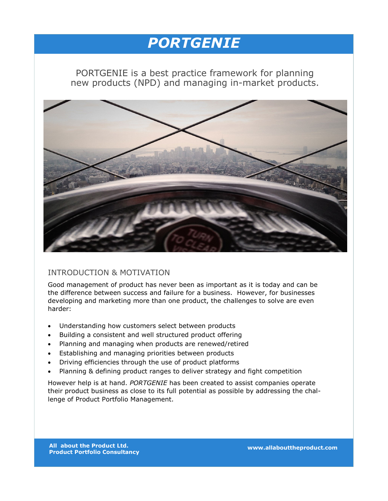# *PORTGENIE*

PORTGENIE is a best practice framework for planning new products (NPD) and managing in-market products.



### INTRODUCTION & MOTIVATION

Good management of product has never been as important as it is today and can be the difference between success and failure for a business. However, for businesses developing and marketing more than one product, the challenges to solve are even harder:

- Understanding how customers select between products
- Building a consistent and well structured product offering
- Planning and managing when products are renewed/retired
- Establishing and managing priorities between products
- Driving efficiencies through the use of product platforms
- Planning & defining product ranges to deliver strategy and fight competition

However help is at hand. *PORTGENIE* has been created to assist companies operate their product business as close to its full potential as possible by addressing the challenge of Product Portfolio Management.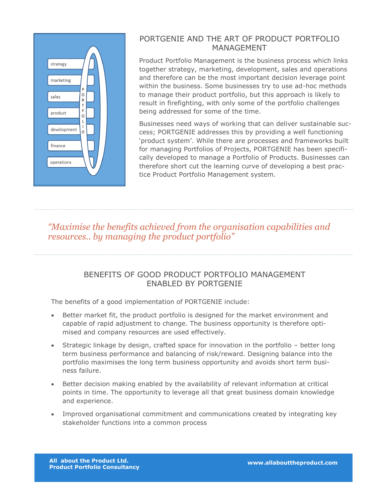

## PORTGENIE AND THE ART OF PRODUCT PORTFOLIO MANAGEMENT

Product Portfolio Management is the business process which links together strategy, marketing, development, sales and operations and therefore can be the most important decision leverage point within the business. Some businesses try to use ad-hoc methods to manage their product portfolio, but this approach is likely to result in firefighting, with only some of the portfolio challenges being addressed for some of the time.

Businesses need ways of working that can deliver sustainable success; PORTGENIE addresses this by providing a well functioning 'product system'. While there are processes and frameworks built for managing Portfolios of Projects, PORTGENIE has been specifically developed to manage a Portfolio of Products. Businesses can therefore short cut the learning curve of developing a best practice Product Portfolio Management system.

## *"Maximise the benefits achieved from the organisation capabilities and resources.. by managing the product portfolio"*

### BENEFITS OF GOOD PRODUCT PORTFOLIO MANAGEMENT ENABLED BY PORTGENIE

The benefits of a good implementation of PORTGENIE include:

- Better market fit, the product portfolio is designed for the market environment and capable of rapid adjustment to change. The business opportunity is therefore optimised and company resources are used effectively.
- Strategic linkage by design, crafted space for innovation in the portfolio better long term business performance and balancing of risk/reward. Designing balance into the portfolio maximises the long term business opportunity and avoids short term business failure.
- Better decision making enabled by the availability of relevant information at critical points in time. The opportunity to leverage all that great business domain knowledge and experience.
- Improved organisational commitment and communications created by integrating key stakeholder functions into a common process